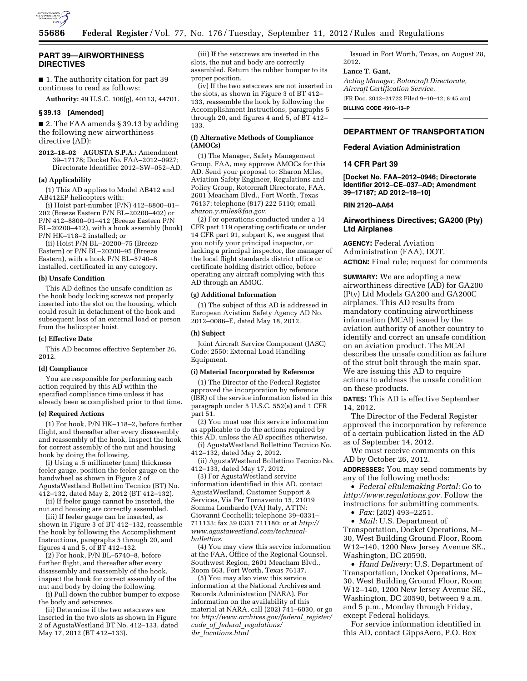

# **PART 39—AIRWORTHINESS DIRECTIVES**

■ 1. The authority citation for part 39 continues to read as follows:

**Authority:** 49 U.S.C. 106(g), 40113, 44701.

# **§ 39.13 [Amended]**

■ 2. The FAA amends § 39.13 by adding the following new airworthiness directive (AD):

**2012–18–02 AGUSTA S.P.A.:** Amendment 39–17178; Docket No. FAA–2012–0927; Directorate Identifier 2012–SW–052–AD.

### **(a) Applicability**

(1) This AD applies to Model AB412 and AB412EP helicopters with:

(i) Hoist part-number (P/N) 412–8800–01– 202 (Breeze Eastern P/N BL–20200–402) or P/N 412–8800–01–412 (Breeze Eastern P/N BL–20200–412), with a hook assembly (hook) P/N HK–118–2 installed; or

(ii) Hoist P/N BL–20200–75 (Breeze Eastern) or P/N BL–20200–95 (Breeze Eastern), with a hook P/N BL–5740–8 installed, certificated in any category.

#### **(b) Unsafe Condition**

This AD defines the unsafe condition as the hook body locking screws not properly inserted into the slot on the housing, which could result in detachment of the hook and subsequent loss of an external load or person from the helicopter hoist.

#### **(c) Effective Date**

This AD becomes effective September 26, 2012.

#### **(d) Compliance**

You are responsible for performing each action required by this AD within the specified compliance time unless it has already been accomplished prior to that time.

#### **(e) Required Actions**

(1) For hook, P/N HK–118–2, before further flight, and thereafter after every disassembly and reassembly of the hook, inspect the hook for correct assembly of the nut and housing hook by doing the following.

(i) Using a .5 millimeter (mm) thickness feeler gauge, position the feeler gauge on the handwheel as shown in Figure 2 of AgustaWestland Bollettino Tecnico (BT) No. 412–132, dated May 2, 2012 (BT 412–132).

(ii) If feeler gauge cannot be inserted, the nut and housing are correctly assembled.

(iii) If feeler gauge can be inserted, as shown in Figure 3 of BT 412–132, reassemble the hook by following the Accomplishment Instructions, paragraphs 5 through 20, and figures 4 and 5, of BT 412–132.

(2) For hook, P/N BL–5740–8, before further flight, and thereafter after every disassembly and reassembly of the hook, inspect the hook for correct assembly of the nut and body by doing the following.

(i) Pull down the rubber bumper to expose the body and setscrews.

(ii) Determine if the two setscrews are inserted in the two slots as shown in Figure 2 of AgustaWestland BT No. 412–133, dated May 17, 2012 (BT 412–133).

(iii) If the setscrews are inserted in the slots, the nut and body are correctly assembled. Return the rubber bumper to its proper position.

(iv) If the two setscrews are not inserted in the slots, as shown in Figure 3 of BT 412– 133, reassemble the hook by following the Accomplishment Instructions, paragraphs 5 through 20, and figures 4 and 5, of BT 412– 133.

## **(f) Alternative Methods of Compliance (AMOCs)**

(1) The Manager, Safety Management Group, FAA, may approve AMOCs for this AD. Send your proposal to: Sharon Miles, Aviation Safety Engineer, Regulations and Policy Group, Rotorcraft Directorate, FAA, 2601 Meacham Blvd., Fort Worth, Texas 76137; telephone (817) 222 5110; email *[sharon.y.miles@faa.gov](mailto:sharon.y.miles@faa.gov)*.

(2) For operations conducted under a 14 CFR part 119 operating certificate or under 14 CFR part 91, subpart K, we suggest that you notify your principal inspector, or lacking a principal inspector, the manager of the local flight standards district office or certificate holding district office, before operating any aircraft complying with this AD through an AMOC.

#### **(g) Additional Information**

(1) The subject of this AD is addressed in European Aviation Safety Agency AD No. 2012–0086–E, dated May 18, 2012.

### **(h) Subject**

Joint Aircraft Service Component (JASC) Code: 2550: External Load Handling Equipment.

### **(i) Material Incorporated by Reference**

(1) The Director of the Federal Register approved the incorporation by reference (IBR) of the service information listed in this paragraph under 5 U.S.C. 552(a) and 1 CFR part 51.

(2) You must use this service information as applicable to do the actions required by this AD, unless the AD specifies otherwise.

(i) AgustaWestland Bollettino Tecnico No. 412–132, dated May 2, 2012.

(ii) AgustaWestland Bollettino Tecnico No. 412–133, dated May 17, 2012.

(3) For AgustaWestland service information identified in this AD, contact AgustaWestland, Customer Support & Services, Via Per Tornavento 15, 21019 Somma Lombardo (VA) Italy, ATTN: Giovanni Cecchelli; telephone 39–0331– 711133; fax 39 0331 711180; or at *[http://](http://www.agustawestland.com/technical-bullettins)  [www.agustawestland.com/technical](http://www.agustawestland.com/technical-bullettins)[bullettins](http://www.agustawestland.com/technical-bullettins)*.

(4) You may view this service information at the FAA, Office of the Regional Counsel, Southwest Region, 2601 Meacham Blvd., Room 663, Fort Worth, Texas 76137.

(5) You may also view this service information at the National Archives and Records Administration (NARA). For information on the availability of this material at NARA, call (202) 741–6030, or go to: *[http://www.archives.gov/federal](http://www.archives.gov/federal_register/code_of_federal_regulations/ibr_locations.html)*\_*register/ code*\_*of*\_*federal*\_*[regulations/](http://www.archives.gov/federal_register/code_of_federal_regulations/ibr_locations.html) ibr*\_*[locations.html](http://www.archives.gov/federal_register/code_of_federal_regulations/ibr_locations.html)* 

Issued in Fort Worth, Texas, on August 28, 2012.

#### **Lance T. Gant,**

*Acting Manager, Rotorcraft Directorate, Aircraft Certification Service.*  [FR Doc. 2012–21722 Filed 9–10–12; 8:45 am]

**BILLING CODE 4910–13–P** 

# **DEPARTMENT OF TRANSPORTATION**

### **Federal Aviation Administration**

## **14 CFR Part 39**

**[Docket No. FAA–2012–0946; Directorate Identifier 2012–CE–037–AD; Amendment 39–17187; AD 2012–18–10]** 

**RIN 2120–AA64** 

# **Airworthiness Directives; GA200 (Pty) Ltd Airplanes**

**AGENCY:** Federal Aviation Administration (FAA), DOT. **ACTION:** Final rule; request for comments

**SUMMARY:** We are adopting a new airworthiness directive (AD) for GA200 (Pty) Ltd Models GA200 and GA200C airplanes. This AD results from mandatory continuing airworthiness information (MCAI) issued by the aviation authority of another country to identify and correct an unsafe condition on an aviation product. The MCAI describes the unsafe condition as failure of the strut bolt through the main spar. We are issuing this AD to require actions to address the unsafe condition on these products.

**DATES:** This AD is effective September 14, 2012.

The Director of the Federal Register approved the incorporation by reference of a certain publication listed in the AD as of September 14, 2012.

We must receive comments on this AD by October 26, 2012.

**ADDRESSES:** You may send comments by any of the following methods:

• *Federal eRulemaking Portal:* Go to *[http://www.regulations.gov.](http://www.regulations.gov)* Follow the instructions for submitting comments.

• *Fax:* (202) 493–2251.

• *Mail:* U.S. Department of

Transportation, Docket Operations, M– 30, West Building Ground Floor, Room W12–140, 1200 New Jersey Avenue SE., Washington, DC 20590.

• *Hand Delivery:* U.S. Department of Transportation, Docket Operations, M– 30, West Building Ground Floor, Room W12–140, 1200 New Jersey Avenue SE., Washington, DC 20590, between 9 a.m. and 5 p.m., Monday through Friday, except Federal holidays.

For service information identified in this AD, contact GippsAero, P.O. Box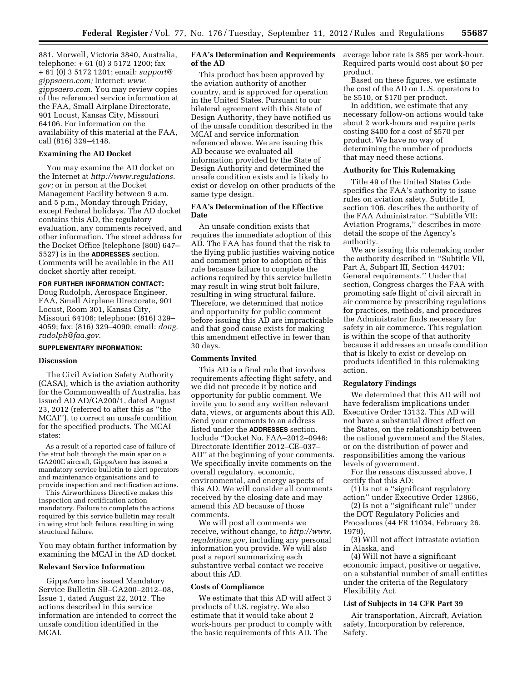881, Morwell, Victoria 3840, Australia, telephone: + 61 (0) 3 5172 1200; fax + 61 (0) 3 5172 1201; email: *[support@](mailto:support@gippsaero.com) [gippsaero.com;](mailto:support@gippsaero.com)* Internet: *[www.](http://www.gippsaero.com) [gippsaero.com.](http://www.gippsaero.com)* You may review copies of the referenced service information at the FAA, Small Airplane Directorate, 901 Locust, Kansas City, Missouri 64106. For information on the availability of this material at the FAA, call (816) 329–4148.

## **Examining the AD Docket**

You may examine the AD docket on the Internet at *[http://www.regulations.](http://www.regulations.gov) [gov;](http://www.regulations.gov)* or in person at the Docket Management Facility between 9 a.m. and 5 p.m., Monday through Friday, except Federal holidays. The AD docket contains this AD, the regulatory evaluation, any comments received, and other information. The street address for the Docket Office (telephone (800) 647– 5527) is in the **ADDRESSES** section. Comments will be available in the AD docket shortly after receipt.

# **FOR FURTHER INFORMATION CONTACT:**

Doug Rudolph, Aerospace Engineer, FAA, Small Airplane Directorate, 901 Locust, Room 301, Kansas City, Missouri 64106; telephone: (816) 329– 4059; fax: (816) 329–4090; email: *[doug.](mailto:doug.rudolph@faa.gov) [rudolph@faa.gov.](mailto:doug.rudolph@faa.gov)* 

# **SUPPLEMENTARY INFORMATION:**

# **Discussion**

The Civil Aviation Safety Authority (CASA), which is the aviation authority for the Commonwealth of Australia, has issued AD AD/GA200/1, dated August 23, 2012 (referred to after this as ''the MCAI''), to correct an unsafe condition for the specified products. The MCAI states:

As a result of a reported case of failure of the strut bolt through the main spar on a GA200C aircraft, GippsAero has issued a mandatory service bulletin to alert operators and maintenance organisations and to provide inspection and rectification actions.

This Airworthiness Directive makes this inspection and rectification action mandatory. Failure to complete the actions required by this service bulletin may result in wing strut bolt failure, resulting in wing structural failure.

You may obtain further information by examining the MCAI in the AD docket.

## **Relevant Service Information**

GippsAero has issued Mandatory Service Bulletin SB–GA200–2012–08, Issue 1, dated August 22, 2012. The actions described in this service information are intended to correct the unsafe condition identified in the MCAI.

# **FAA's Determination and Requirements of the AD**

This product has been approved by the aviation authority of another country, and is approved for operation in the United States. Pursuant to our bilateral agreement with this State of Design Authority, they have notified us of the unsafe condition described in the MCAI and service information referenced above. We are issuing this AD because we evaluated all information provided by the State of Design Authority and determined the unsafe condition exists and is likely to exist or develop on other products of the same type design.

# **FAA's Determination of the Effective Date**

An unsafe condition exists that requires the immediate adoption of this AD. The FAA has found that the risk to the flying public justifies waiving notice and comment prior to adoption of this rule because failure to complete the actions required by this service bulletin may result in wing strut bolt failure, resulting in wing structural failure. Therefore, we determined that notice and opportunity for public comment before issuing this AD are impracticable and that good cause exists for making this amendment effective in fewer than 30 days.

# **Comments Invited**

This AD is a final rule that involves requirements affecting flight safety, and we did not precede it by notice and opportunity for public comment. We invite you to send any written relevant data, views, or arguments about this AD. Send your comments to an address listed under the **ADDRESSES** section. Include ''Docket No. FAA–2012–0946; Directorate Identifier 2012–CE–037– AD'' at the beginning of your comments. We specifically invite comments on the overall regulatory, economic, environmental, and energy aspects of this AD. We will consider all comments received by the closing date and may amend this AD because of those comments.

We will post all comments we receive, without change, to *[http://www.](http://www.regulations.gov) [regulations.gov,](http://www.regulations.gov)* including any personal information you provide. We will also post a report summarizing each substantive verbal contact we receive about this AD.

#### **Costs of Compliance**

We estimate that this AD will affect 3 products of U.S. registry. We also estimate that it would take about 2 work-hours per product to comply with the basic requirements of this AD. The

average labor rate is \$85 per work-hour. Required parts would cost about \$0 per product.

Based on these figures, we estimate the cost of the AD on U.S. operators to be \$510, or \$170 per product.

In addition, we estimate that any necessary follow-on actions would take about 2 work-hours and require parts costing \$400 for a cost of \$570 per product. We have no way of determining the number of products that may need these actions.

# **Authority for This Rulemaking**

Title 49 of the United States Code specifies the FAA's authority to issue rules on aviation safety. Subtitle I, section 106, describes the authority of the FAA Administrator. ''Subtitle VII: Aviation Programs,'' describes in more detail the scope of the Agency's authority.

We are issuing this rulemaking under the authority described in ''Subtitle VII, Part A, Subpart III, Section 44701: General requirements.'' Under that section, Congress charges the FAA with promoting safe flight of civil aircraft in air commerce by prescribing regulations for practices, methods, and procedures the Administrator finds necessary for safety in air commerce. This regulation is within the scope of that authority because it addresses an unsafe condition that is likely to exist or develop on products identified in this rulemaking action.

## **Regulatory Findings**

We determined that this AD will not have federalism implications under Executive Order 13132. This AD will not have a substantial direct effect on the States, on the relationship between the national government and the States, or on the distribution of power and responsibilities among the various levels of government.

For the reasons discussed above, I certify that this AD:

(1) Is not a ''significant regulatory action'' under Executive Order 12866,

(2) Is not a ''significant rule'' under the DOT Regulatory Policies and Procedures (44 FR 11034, February 26, 1979),

(3) Will not affect intrastate aviation in Alaska, and

(4) Will not have a significant economic impact, positive or negative, on a substantial number of small entities under the criteria of the Regulatory Flexibility Act.

### **List of Subjects in 14 CFR Part 39**

Air transportation, Aircraft, Aviation safety, Incorporation by reference, Safety.